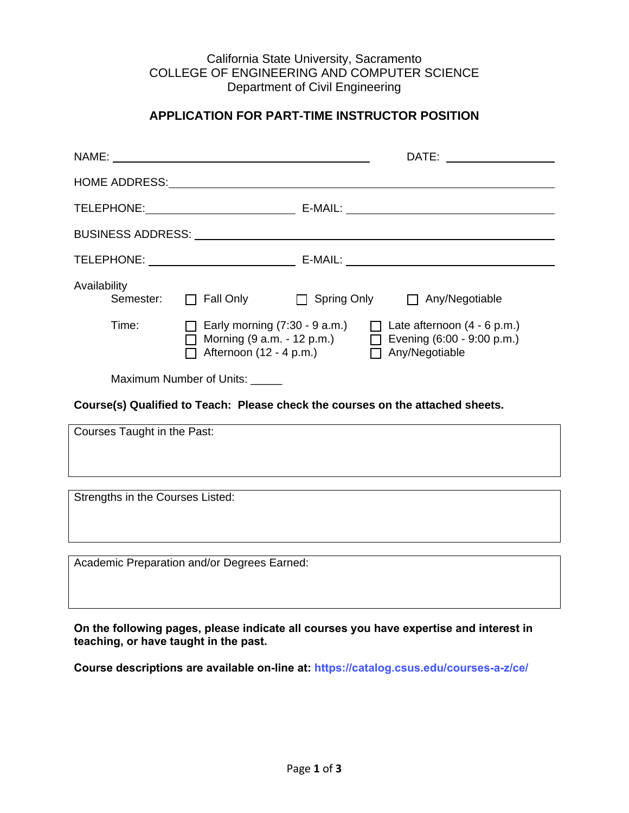#### California State University, Sacramento COLLEGE OF ENGINEERING AND COMPUTER SCIENCE Department of Civil Engineering

## **APPLICATION FOR PART-TIME INSTRUCTOR POSITION**

|                                                                                | BUSINESS ADDRESS: National Account of the Magnus Adventure of the Magnus Adventure of the Magnus Adventure of the Magnus Adventure of the Magnus Adventure of the Magnus Adventure of the Magnus Adventure of the Magnus Adven |  |
|--------------------------------------------------------------------------------|--------------------------------------------------------------------------------------------------------------------------------------------------------------------------------------------------------------------------------|--|
|                                                                                |                                                                                                                                                                                                                                |  |
| Availability                                                                   | Semester: □ Fall Only □ Spring Only □ Any/Negotiable                                                                                                                                                                           |  |
| Time:                                                                          | $\Box$ Early morning (7:30 - 9 a.m.) $\Box$ Late afternoon (4 - 6 p.m.)<br>◯ Morning $(9 a.m. -12 p.m.)$ $\Box$ Evening $(6:00 - 9:00 p.m.)$<br>△ Afternoon (12 - 4 p.m.) △ △ Any/Negotiable                                   |  |
| Maximum Number of Units: _____                                                 |                                                                                                                                                                                                                                |  |
| Course(s) Qualified to Teach: Please check the courses on the attached sheets. |                                                                                                                                                                                                                                |  |
| Courses Taught in the Past:                                                    |                                                                                                                                                                                                                                |  |
|                                                                                |                                                                                                                                                                                                                                |  |
|                                                                                |                                                                                                                                                                                                                                |  |

Strengths in the Courses Listed:

Academic Preparation and/or Degrees Earned:

**On the following pages, please indicate all courses you have expertise and interest in teaching, or have taught in the past.** 

**Course descriptions are available on-line at:<https://catalog.csus.edu/courses-a-z/ce/>**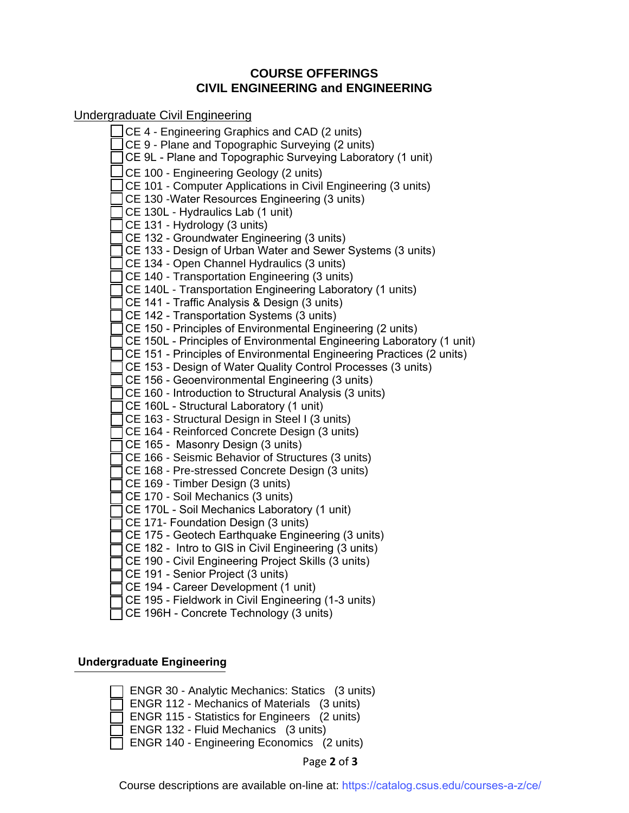### **COURSE OFFERINGS CIVIL ENGINEERING and ENGINEERING**

Undergraduate Civil Engineering

CE 4 - Engineering Graphics and CAD (2 units) CE 9 - Plane and Topographic Surveying (2 units) CE 9L - Plane and Topographic Surveying Laboratory (1 unit) CE 100 - Engineering Geology (2 units) CE 101 - Computer Applications in Civil Engineering (3 units) CE 130 -Water Resources Engineering (3 units) CE 130L - Hydraulics Lab (1 unit) CE 131 - Hydrology (3 units) CE 132 - Groundwater Engineering (3 units) CE 133 - Design of Urban Water and Sewer Systems (3 units) CE 134 - Open Channel Hydraulics (3 units) CE 140 - Transportation Engineering (3 units) CE 140L - Transportation Engineering Laboratory (1 units) CE 141 - Traffic Analysis & Design (3 units) CE 142 - Transportation Systems (3 units) CE 150 - Principles of Environmental Engineering (2 units) CE 150L - Principles of Environmental Engineering Laboratory (1 unit) CE 151 - Principles of Environmental Engineering Practices (2 units) CE 153 - Design of Water Quality Control Processes (3 units) CE 156 - Geoenvironmental Engineering (3 units) CE 160 - Introduction to Structural Analysis (3 units) CE 160L - Structural Laboratory (1 unit) CE 163 - Structural Design in Steel I (3 units) CE 164 - Reinforced Concrete Design (3 units) CE 165 - Masonry Design (3 units) CE 166 - Seismic Behavior of Structures (3 units) CE 168 - Pre-stressed Concrete Design (3 units) CE 169 - Timber Design (3 units) CE 170 - Soil Mechanics (3 units) CE 170L - Soil Mechanics Laboratory (1 unit) CE 171- Foundation Design (3 units) CE 175 - Geotech Earthquake Engineering (3 units) CE 182 - Intro to GIS in Civil Engineering (3 units) CE 190 - Civil Engineering Project Skills (3 units) CE 191 - Senior Project (3 units) CE 194 - Career Development (1 unit) CE 195 - Fieldwork in Civil Engineering (1-3 units)

#### CE 196H - Concrete Technology (3 units)

#### **Undergraduate Engineering**

| ENGR 30 - Analytic Mechanics: Statics (3 units)      |
|------------------------------------------------------|
| $\Box$ ENGR 112 - Mechanics of Materials (3 units)   |
| $\Box$ ENGR 115 - Statistics for Engineers (2 units) |
| $\Box$ ENGR 132 - Fluid Mechanics (3 units)          |
| ENGR 140 - Engineering Economics (2 units)           |